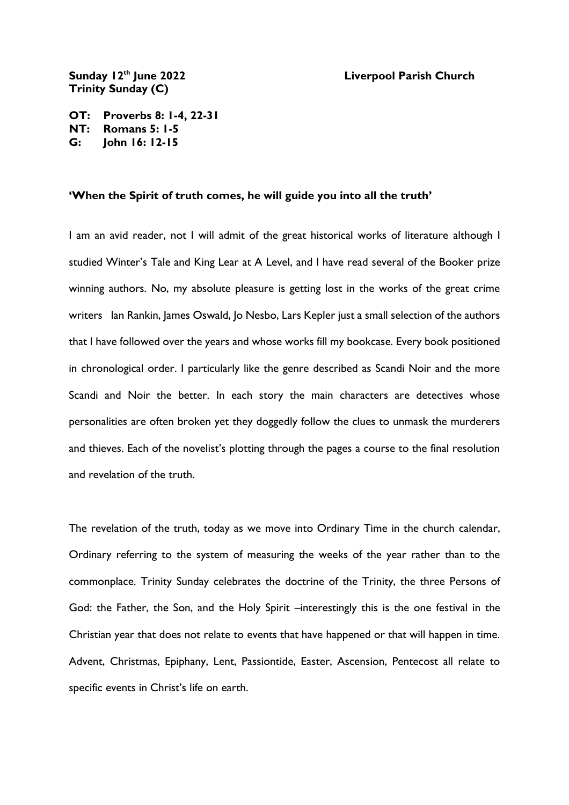## **Liverpool Parish Church**

Sunday 12<sup>th</sup> June 2022 **Trinity Sunday (C)**

**OT: Proverbs 8: 1-4, 22-31 NT: Romans 5: 1-5 G: John 16: 12-15**

## **'When the Spirit of truth comes, he will guide you into all the truth'**

I am an avid reader, not I will admit of the great historical works of literature although I studied Winter's Tale and King Lear at A Level, and I have read several of the Booker prize winning authors. No, my absolute pleasure is getting lost in the works of the great crime writers Ian Rankin, James Oswald, Jo Nesbo, Lars Kepler just a small selection of the authors that I have followed over the years and whose works fill my bookcase. Every book positioned in chronological order. I particularly like the genre described as Scandi Noir and the more Scandi and Noir the better. In each story the main characters are detectives whose personalities are often broken yet they doggedly follow the clues to unmask the murderers and thieves. Each of the novelist's plotting through the pages a course to the final resolution and revelation of the truth.

The revelation of the truth, today as we move into Ordinary Time in the church calendar, Ordinary referring to the system of measuring the weeks of the year rather than to the commonplace. Trinity Sunday celebrates the doctrine of the Trinity, the three Persons of God: the Father, the Son, and the Holy Spirit –interestingly this is the one festival in the Christian year that does not relate to events that have happened or that will happen in time. Advent, Christmas, Epiphany, Lent, Passiontide, Easter, Ascension, Pentecost all relate to specific events in Christ's life on earth.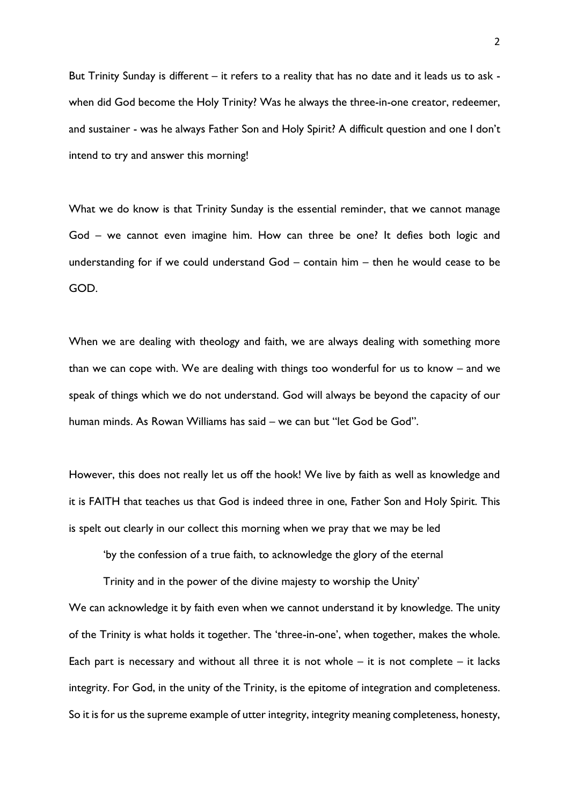But Trinity Sunday is different – it refers to a reality that has no date and it leads us to ask when did God become the Holy Trinity? Was he always the three-in-one creator, redeemer, and sustainer - was he always Father Son and Holy Spirit? A difficult question and one I don't intend to try and answer this morning!

What we do know is that Trinity Sunday is the essential reminder, that we cannot manage God – we cannot even imagine him. How can three be one? It defies both logic and understanding for if we could understand God – contain him – then he would cease to be GOD.

When we are dealing with theology and faith, we are always dealing with something more than we can cope with. We are dealing with things too wonderful for us to know – and we speak of things which we do not understand. God will always be beyond the capacity of our human minds. As Rowan Williams has said – we can but "let God be God".

However, this does not really let us off the hook! We live by faith as well as knowledge and it is FAITH that teaches us that God is indeed three in one, Father Son and Holy Spirit. This is spelt out clearly in our collect this morning when we pray that we may be led

'by the confession of a true faith, to acknowledge the glory of the eternal

Trinity and in the power of the divine majesty to worship the Unity' We can acknowledge it by faith even when we cannot understand it by knowledge. The unity of the Trinity is what holds it together. The 'three-in-one', when together, makes the whole. Each part is necessary and without all three it is not whole  $-$  it is not complete  $-$  it lacks integrity. For God, in the unity of the Trinity, is the epitome of integration and completeness. So it is for us the supreme example of utter integrity, integrity meaning completeness, honesty,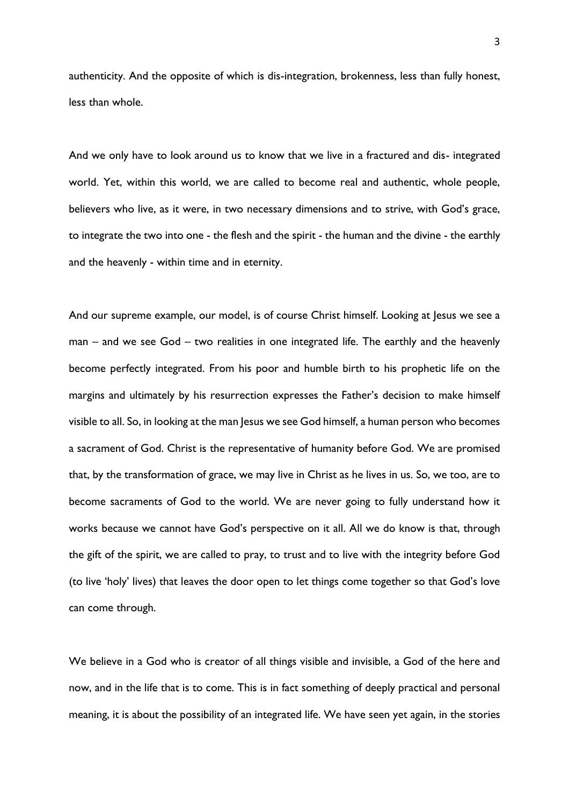authenticity. And the opposite of which is dis-integration, brokenness, less than fully honest, less than whole.

And we only have to look around us to know that we live in a fractured and dis- integrated world. Yet, within this world, we are called to become real and authentic, whole people, believers who live, as it were, in two necessary dimensions and to strive, with God's grace, to integrate the two into one - the flesh and the spirit - the human and the divine - the earthly and the heavenly - within time and in eternity.

And our supreme example, our model, is of course Christ himself. Looking at Jesus we see a man – and we see God – two realities in one integrated life. The earthly and the heavenly become perfectly integrated. From his poor and humble birth to his prophetic life on the margins and ultimately by his resurrection expresses the Father's decision to make himself visible to all. So, in looking at the man Jesus we see God himself, a human person who becomes a sacrament of God. Christ is the representative of humanity before God. We are promised that, by the transformation of grace, we may live in Christ as he lives in us. So, we too, are to become sacraments of God to the world. We are never going to fully understand how it works because we cannot have God's perspective on it all. All we do know is that, through the gift of the spirit, we are called to pray, to trust and to live with the integrity before God (to live 'holy' lives) that leaves the door open to let things come together so that God's love can come through.

We believe in a God who is creator of all things visible and invisible, a God of the here and now, and in the life that is to come. This is in fact something of deeply practical and personal meaning, it is about the possibility of an integrated life. We have seen yet again, in the stories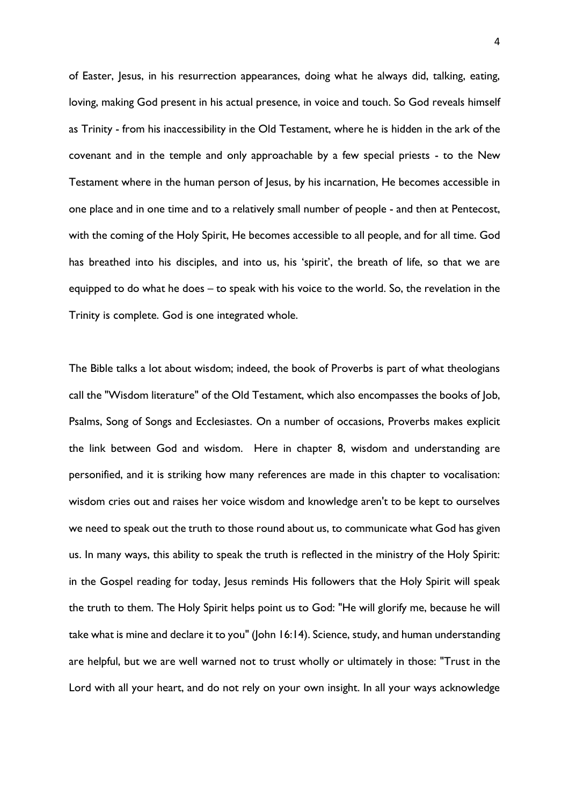of Easter, Jesus, in his resurrection appearances, doing what he always did, talking, eating, loving, making God present in his actual presence, in voice and touch. So God reveals himself as Trinity - from his inaccessibility in the Old Testament, where he is hidden in the ark of the covenant and in the temple and only approachable by a few special priests - to the New Testament where in the human person of Jesus, by his incarnation, He becomes accessible in one place and in one time and to a relatively small number of people - and then at Pentecost, with the coming of the Holy Spirit, He becomes accessible to all people, and for all time. God has breathed into his disciples, and into us, his 'spirit', the breath of life, so that we are equipped to do what he does – to speak with his voice to the world. So, the revelation in the Trinity is complete. God is one integrated whole.

The Bible talks a lot about wisdom; indeed, the book of Proverbs is part of what theologians call the "Wisdom literature" of the Old Testament, which also encompasses the books of Job, Psalms, Song of Songs and Ecclesiastes. On a number of occasions, Proverbs makes explicit the link between God and wisdom. Here in chapter 8, wisdom and understanding are personified, and it is striking how many references are made in this chapter to vocalisation: wisdom cries out and raises her voice wisdom and knowledge aren't to be kept to ourselves we need to speak out the truth to those round about us, to communicate what God has given us. In many ways, this ability to speak the truth is reflected in the ministry of the Holy Spirit: in the Gospel reading for today, Jesus reminds His followers that the Holy Spirit will speak the truth to them. The Holy Spirit helps point us to God: "He will glorify me, because he will take what is mine and declare it to you" (John 16:14). Science, study, and human understanding are helpful, but we are well warned not to trust wholly or ultimately in those: "Trust in the Lord with all your heart, and do not rely on your own insight. In all your ways acknowledge